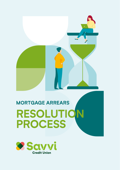

# **MORTGAGE ARREARS RESOLUTION PROCESS**

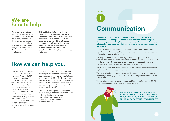## **We are here to help.**

We understand that your financial circumstances can change and this can result in you being concerned about falling into arrears or you could already be in arrears on your mortgage repayments. Savvi Credit Union are committed to helping you.

**This guide is to help you or if you have any concerns about meeting a repayment on your mortgage. Whatever the cause of your financial problems, the most important thing is that you communicate with us so that we can examine all the practical options available to you. The earlier we know about your difficulties, the earlier we can help you.**

# **How we can help you.**

The Central Bank of Ireland has a Code of Conduct on Mortgage Arrears (CCMA) to provide protection mortgage holders. Under the CCMA, Savvi Credit Union implemented a four-step process called the Mortgage Arrears Resolution Process (MARP). The MARP is a four-step process that aims to engage with, support and find resolution for our mortgage customers who are in arrears, or are at risk of going into arrears.

It is very important that you understand the obligations that the Code places on you. You must co-operate with us to tackle your repayment difficulties. If you do not work with us or provide the information we ask for, you will be considered to be 'not co-operating' and will lose the protection given to you by MARP.

Note: The Code applies to a mortgage taken our as your primary residence which is the residential property you occupy as your home or your own residential property in the state even if you do not currently live in it.

# **STEP 1**

# **Communication**

**The most important step is to contact us as soon as possible. We understand that facing your financial problems can be daunting but the sooner you contact us, the sooner we can start working on finding a solution. It is also important that you respond to any communication we send to you.**

There are letters we are required to send under the Code. These letters will include information such as the amount of arrears on your mortgage, contact information amongst other details.

We may also need to contact you if you have not responded to a required timeline, if we need to clarify information or if there are other options that we need to discuss with you. We may also need to contact you if you have not met a payment arrangement that we have made with you.

We will make sure that we only contact you if necessary and we are here to explain anything you need in more detail.

We have trained and knowledgeable staff if you would like to discuss any aspect of your mortgage. Just ask to speak to one of your credit union's Credit Controllers.

You can also contact the Money Advice and Budgeting Service (MABS). They provide independent financial advice free of charge.

> **THE FIRST AND MOST IMPORTANT STEP YOU CAN TAKE IS TO TALK TO US AS SOON AS YOU KNOW YOU ARE IN DIFFICULTY OR ARE AT RISK OF GETTING INTO DIFFICULTY.**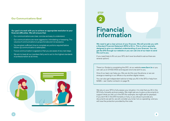### **2 Our Communications Goal**

#### **Our goal is to work with you to achieve an appropriate resolution to your financial difficulties. We will ensure that:**

- Our communications are clear, concise and easy to understand.
- Our communications are never aggressive, intimidating or harassing. The volume of communications is proportionate and not excessive.
- You are given sufficient time to complete any actions required before follow-up communication is attempted.
- Future communication is agreed so that you are aware of any next steps.
- We aim to treat all our members fairly and to act to the highest standards of professionalism at all times.



# **Financial information**

**We need to get a clear picture of your finances. We will provide you with a Standard Financial Statement (SFS) to fill in. This is a form specially designed to give us a detailed understanding of your finances. You can get the SFS through our website or you can call one of our team to send this out to you.**

If you need help to fill out your SFS, don't ever be afraid to ask as there are several options:

There is a 'Guide to completing the SFS', at our website **[www.Savvi.ie](http://www.Savvi.ie)** or you can call us on 01 632 5100 and request one to be sent to you.

One of our team can help you. We can do this over the phone, or we can arrange a meeting in our offices or by another digital means.

You can also get independent advice to help you fill in the SFS or help from MABS– see 'Useful contacts' on page 16.

We rely on your SFS to fully assess your situation. It is vital that you fill in the SFS fully, honestly and accurately. We might ask you to give us documents to support what you tell us in the SFS (for example, we might ask for payslips). If you don't fill in the SFS honestly or fully, or you refuse to provide any documents we ask for, we will consider you to be 'not co-operating', and you will lose the protection provided by the code.

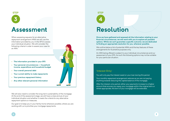

# **Assessment**

When assessing requests for an alternative repayment arrangement (ARA) we will use the information provided by you in the SFS to assess your individual situation. We will consider the following criteria in order to assess your case for an ARA.



- **• The information provided in your SFS**
- **• Your personal circumstances household income, expenditure and household budget**
- **• Your overall personal debt**
- **• Your current ability to make repayments**
- **• Your previous repayment history**
- **• Any other relevant personal information**

We will also need to consider the long-term sustainability of the mortgage. At the end of the assessment stage, we will have a clear picture of your individual situation and whether it meets the criteria for any alternative repayment options or measures.

Our goal is to keep you in your family home wherever possible, where you are working with us to prioritise your mortgage repayments.



# **Resolution**

**Once we have gathered and assessed all the information relating to your financial circumstances, we will work with you to explore all possible options. While we can't guarantee a specific outcome, we are dedicated to finding an appropriate resolution for you, wherever possible.**

We outline below a list of potential ARA's and the key features of these arrangements for illustrative purposes only.

An ARA being offered is subject to your individual circumstances and our assessment of your SFS. As such the following options may not be suitable for your particular situation.

### **'Interest Only'**

You will only pay the interest owed on your loan during this period.

Your monthly repayment arrangement reduces as you are not paying anything towards reducing the capital balance of the mortgage.

After the interest-only period, either your payments increase to a higher amount that ensures you repay your mortgage within the original term or where appropriate, the term of your mortgage will be extended.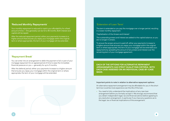### **'Reduced Monthly Repayments'**

Your monthly repayment is reduced to match your affordability for a fixed amount of time – this generally can be 12 to 36 months. Both interest and capital will be repaid.

After the reduced repayment period, either your payments increase to a higher amount that ensures you repay your mortgage within the original term or where appropriate, the term of your mortgage will be extended.

### **'Repayment Break'**

You can enter into an arrangement to defer the payment of all or part of your mortgage repayment for an agreed period of time to ease the immediate financial pressure on you – generally for up to 3 months.

After the deferral period, either your payments increase to a higher amount that ensures you repay your mortgage within the original term or where appropriate, the term of your mortgage will be extended.

### **'Extension of Loan Term'**

The term is extended so you pay the mortgage over a longer period, resulting in a lower monthly repayment.

'Capitalisation of the Arrears and Interest'

The outstanding arrears and interest are added to the capital balance, so you are no longer in arrears.

To ensure the arrears amount is paid off, either your payments increase to a higher amount that ensures you repay your mortgage within the original term or where appropriate, the term of your mortgage will be extended your repayments by spreading the amount of any arrears and interest over the remaining term of your mortgage agreement.

**EACH OF THE OPTIONS FOR ALTERNATIVE REPAYMENT ARRANGEMENTS HAS STRICT QUALIFYING CRITERIA, WITH EACH CASE ASSESSED ON AN INDIVIDUAL CASE-BY-CASE BASIS.**

#### **Important points to note in relation to alternative repayment options:**

An alternative repayment arrangement may be affordable for you in the short term but could be more expensive over the life of the loan.

• You need to fully understand the implications of any new loan arrangement before you formally accept it. We strongly recommend that you obtain independent legal, tax and financial advice before agreeing to any resolution arrangement, in particular if you have any questions as to the legal, tax or financial implications of the arrangement.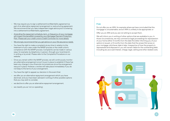- We may require you to sign a settlement/confidentiality agreement as part of an alternative repayment arrangement or restructuring agreement. We recommend that you take independent legal advice prior to entering into a settlement/confidentiality agreement.
- Amending the repayment schedule, term, or frequency of your mortgage will impact the benefit(s) covered by your Mortgage Payment Protection Plan. Please ask your credit unions Credit Controller for more details
- We strongly recommend that you get advice on your life assurance needs.
- You have the right to make a complaint at any time in relation to the treatment of your case under the MARP process or the credit union's compliance with the MARP process. Complaints can be made in various ways, for example, by telephone, in person, through your local branch, in writing or by email. Please refer to the Complaints Procedure on our website.
- Once you remain within the MARP process, we will continuously monitor any alternative arrangement once it is put in place to establish if there has been any change in your financial circumstances since the arrangement was put in place. However, a review will take place immediately if you do not keep to the terms of your arrangement.
- You have the right to appeal our decision in the event that:
- we offer you an alternative repayment arrangement which you have declined, and you have been advised in writing of other possible options that you may wish to consider.
- we decline to offer you an alternative repayment arrangement.
- we classify you as 'not co-operating'.

### **If we:**

Do not offer you an ARA, for example where we have concluded that the mortgage is unsustainable, and an ARA is unlikely to be appropriate; or

Offer you an ARA and you are not willing to accept them.

We will inform you in writing of other options that are available to you. In those circumstances, we may commence legal proceedings for repossession of your home either 3 months from the date the letter informing you of your options is issued, or 8 months from the date that the arrears first arose on your mortgage, whichever date is later. Irrespective of how the property is repossessed and disposed of, you will remain liable for the outstanding debt, including any accrued interest, charge, legal, selling and other related costs.

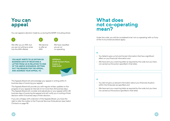# **You can appeal**

You can appeal a decision made by us during the MARP, including where:

ARA.



We offer you an ARA, but you are not willing to enter into the ARA offered.

We decline to offer an



**3**

**YOU MUST WRITE TO US WITHIN 20 BUSINESS DAYS OF RECEIVING A LETTER FROM US IN RELATION TO ONE OF THE ABOVE SCENARIOS, SETTING OUT THE REASON FOR THE APPEAL, AND ADDRESS YOUR APPEAL TO:**



The Appeals Board will acknowledge your appeal in writing within 5 business days of receiving your appeal.

The Appeals Board will provide you with regular written updates on the progress of your appeal at intervals of not more than 20 business days. The Appeals Board will consider and adjudicate on your appeal within 40 business days of receiving the appeal and will notify you in writing of their decision within 5 business days of their decision.

If you are unhappy with a decision of the Appeals Board, you have the right to refer the matter to the Financial Services Ombudsman (see Useful Contacts on page 16)

## **What does not co-operating mean?**

Under the code, you will be considered to be 'not co-operating' with us if any of the 4 circumstances below apply:

### **If:**

- You failed to give us full and honest information that has a significant effect on your financial information and
- We have sent you a warning letter as required by the code, but you have not carried out the action specified in that letter.

### **If:**

- You did not give us relevant information about your financial situation, within the timescale we specified; and
- We have sent you a warning letter as required by the code, but you have not carried out the actions specified in that letter.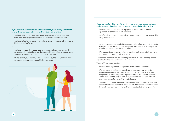#### **If you have not entered into an alternative repayment arrangement with us and there has been a three-month period during which:**

- You have failed to pay your mortgage repayments in full, or you have made your mortgage repayments in full but are still in arrears, and:
- you have failed to contact or respond to any communications from us, or a third party acting for us.

#### **or**

- you have contacted, or responded to communications from us, or a third party acting for us, but have not done everything required to enable us to complete an assessment of your circumstances; and
- We have sent you a warning letter as required by the code, but you have not carried out the actions specified in that letter.



#### **If you have entered into an alternative repayment arrangement with us and since then there has been a three-month period during which:**

- You have failed to pay the new repayments under the alternative repayment arrangement in full and you:
- have failed to contact, or respond to any communication from us, or a third party acting for us;

#### **or**

- have contacted, or responded to communications from us, or a third party acting for us, but have not done everything required for us to complete an assessment of your circumstances, and:
- We have sent you a warning letter as required by the code, but you have not carried out the actions in that letter.

The consequences of 'not co-operating' are serious. Those consequences are set out in the code and include the following.

The MARP no longer applies.

- We may apply legal fees, charges and extra interest on arrears.
- We may commence legal proceedings to repossess your property immediately after you are classified as 'not co-operating'. In this case, irrespective of how a property is repossessed and disposed of, you will remain liable for the outstanding debt, including any accrued interest, charges, legal, selling and other related costs.
- You may no longer be eligible for Personal Insolvency Arrangement (PIA) under the Personal Insolvency Act 2012. For information on PIAs, contact the Insolvency Service of Ireland. Their contact details are on page 18.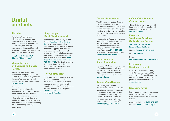# **Useful contacts**

### **Abhaile**

Abhaile is a State-funded scheme to help homeowners find a resolution to their home mortgage arrears. It provides free, confidential, and legal advice from independent, qualified and regulated professionals, which can be accessed through MABS.

**Telephone 0761 07 2000 (Mon to Fri 9am – 8pm)**

### **Money Advice and Budgeting Service (MABS)**

MABS (mabs.ie) offers free and confidential independent advice and assistance with managing your finances. You may wish to seek assistance from MABS Telephone **0761 07 2000** .

A website –

[www.keepingyourhome.ie](http://www.keepingyourhome.ie) is provided by the Citizens Information Board and MABS. This website aims to provide comprehensive information on the services and entitlements available to mortgage borrowers who may be experiencing difficulties making mortgage repayments.

### **Stepchange Debt Charity Ireland**

[Stepchange Debt Charity Irelan](http://www.stepchangedebtcharity.ie)d [\(](http://www.stepchangedebtcharity.ie)**www.stepchangedebtcharity. [ie](http://www.stepchangedebtcharity.ie)**) is a free and independent telephone advice service for people who are struggling with debt or mortgage payments. They will review your financial circumstances and recommend the best way for you to deal with your debts. **Their** 

**Freephone helpline number is 1800 937 435**. The line is available

Monday to Friday from 9am until 5pm and is free to call from landlines and mobiles.

## **The Central Bank**

The Central Bank's website provides independent information on financial products and includes a consumer guide to dealing with your lender on the Code of Conduct on Mortgage Arrears. Telephone **1890 777 777 [www.centralbank.ie](http://www.centralbank.ie)**

### **Citizens Information**

The Citizens Information Board is the statutory body which supports the provision of information, advice and advocacy on a broad range of public and social services including health, employment, social welfare and money.

If you are in mortgage arrears or are worried about mortgage arrears. you can contact the Citizens Information's new dedicated Mortgage Arrears Information help line, phone **0761 074 050** (9.30am–5pm Monday to Friday) **[www.citizensinformation.ie](http://www.citizensinformation.ie)**

## **Department of Social Protection**

The Social Welfare website provide information relating to job seekers allowance, mortgage interest supplement and other welfare benefits you may be eligible for. **[www.welfare.ie](http://www.welfare.ie)**

### **KeepingYourHome.ie**

Provided by the Citizens Information Board and MABS, this website provides comprehensive information on the services and entitlements available if you are having difficulties making your mortgage repayments. It also provides information on MARP. **[www.keepingyourhome.ie](http://www.keepingyourhome.ie)**

### **Office of the Revenue Commissioners**

This website will provide you with information on all tax credits and benefits you may be entitled to. **[www.revenue.ie](http://www.revenue.ie)**

### **Financial Services & Pensions Ombudsman Bureau**

**3rd Floor, Lincoln House, Lincoln Place, Dublin 2.**

Phone: **1890 88 20 90 (lo call)**

Fax: **01 662 0890**

E-mail: **enquiries@financialombudsman.ie**

### **Insolvency Service of Ireland**

Under the Personal Insolvency Act 2012, you have the right to consult with a Personal Insolvency Practitioner. For more information, please refer to their website at **[www.isi.gov.ie](http://www.isi.gov.ie)**

### **Itsyourmoney.ie**

Itsyourmoney.ie provides consumer information and education functions from the Central Bank of Ireland.

Consumer Helpline: **1890 432 432** Website: **[www.itsyourmoney.ie](http://www.itsyourmoney.ie)**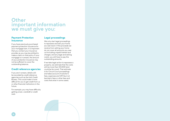## **Other important information we must give you:**

### **Payment Protection Insurance**

If you have previously purchased payment protection insurance for your mortgage loan, it is important that you contact your insurance provider as you may be entitled to make a claim on that policy. If your mortgage is in arrears, the amount of your protection insurance may not be sufficient to cover the outstanding balance.

### **Credit reference agencies**

If you are in arrears, details will be recorded by credit reference agencies such as the Irish Credit Bureau. This could make it more difficult for you to get credit from us or other financial institutions in the future.

For example, you may have difficulty getting a loan, overdraft or credit card.

### **Legal proceedings**

We only start legal proceedings to repossess and sell your home as a last resort. If the proceeds we receive from selling your home do not cover all amounts you owe us (including unpaid interest and charges, and any legal and selling costs), you will have to pay the outstanding amounts.

If we take legal action to repossess a property, we estimate that the costs will be more than €3,000 (and could be far more). That estimate is for Circuit Court proceedings and takes account of solicitor's fees, expenses and VAT (but not barrister's fees or other fees and costs that arise in some cases).